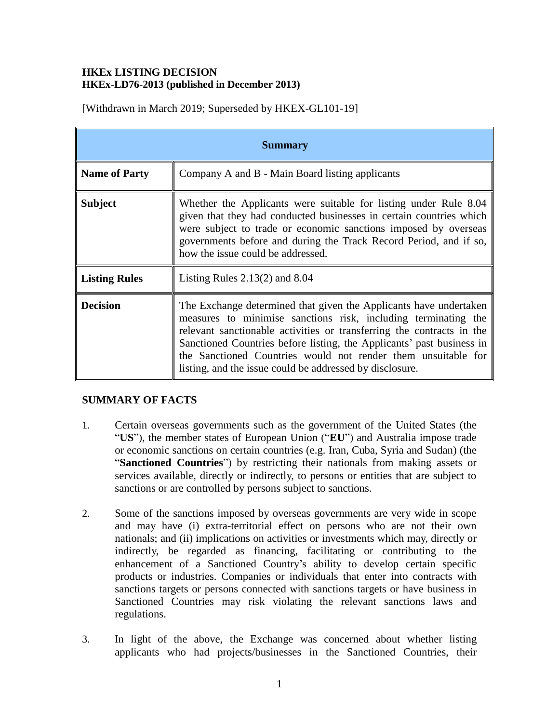### **HKEx LISTING DECISION HKEx-LD76-2013 (published in December 2013)**

[Withdrawn in March 2019; Superseded by HKEX-GL101-19]

| <b>Summary</b>       |                                                                                                                                                                                                                                                                                                                                                                                                                    |
|----------------------|--------------------------------------------------------------------------------------------------------------------------------------------------------------------------------------------------------------------------------------------------------------------------------------------------------------------------------------------------------------------------------------------------------------------|
| <b>Name of Party</b> | Company A and B - Main Board listing applicants                                                                                                                                                                                                                                                                                                                                                                    |
| <b>Subject</b>       | Whether the Applicants were suitable for listing under Rule 8.04<br>given that they had conducted businesses in certain countries which<br>were subject to trade or economic sanctions imposed by overseas<br>governments before and during the Track Record Period, and if so,<br>how the issue could be addressed.                                                                                               |
| <b>Listing Rules</b> | Listing Rules $2.13(2)$ and $8.04$                                                                                                                                                                                                                                                                                                                                                                                 |
| <b>Decision</b>      | The Exchange determined that given the Applicants have undertaken<br>measures to minimise sanctions risk, including terminating the<br>relevant sanctionable activities or transferring the contracts in the<br>Sanctioned Countries before listing, the Applicants' past business in<br>the Sanctioned Countries would not render them unsuitable for<br>listing, and the issue could be addressed by disclosure. |

#### **SUMMARY OF FACTS**

- 1. Certain overseas governments such as the government of the United States (the "**US**"), the member states of European Union ("**EU**") and Australia impose trade or economic sanctions on certain countries (e.g. Iran, Cuba, Syria and Sudan) (the "**Sanctioned Countries**") by restricting their nationals from making assets or services available, directly or indirectly, to persons or entities that are subject to sanctions or are controlled by persons subject to sanctions.
- 2. Some of the sanctions imposed by overseas governments are very wide in scope and may have (i) extra-territorial effect on persons who are not their own nationals; and (ii) implications on activities or investments which may, directly or indirectly, be regarded as financing, facilitating or contributing to the enhancement of a Sanctioned Country's ability to develop certain specific products or industries. Companies or individuals that enter into contracts with sanctions targets or persons connected with sanctions targets or have business in Sanctioned Countries may risk violating the relevant sanctions laws and regulations.
- 3. In light of the above, the Exchange was concerned about whether listing applicants who had projects/businesses in the Sanctioned Countries, their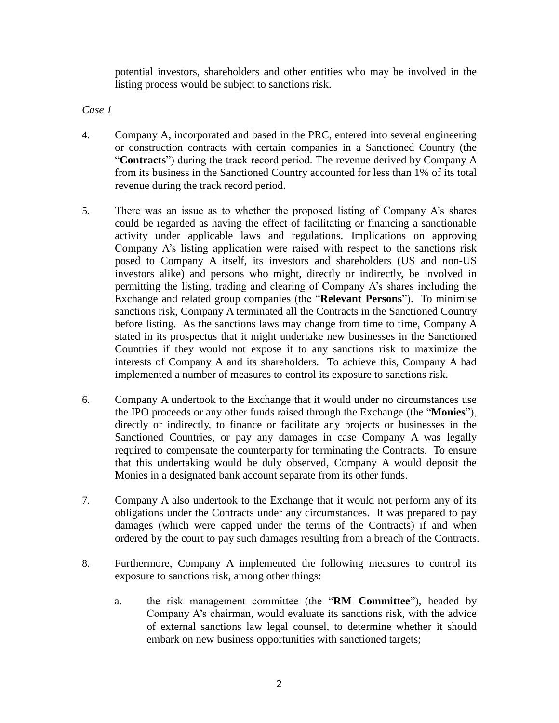potential investors, shareholders and other entities who may be involved in the listing process would be subject to sanctions risk.

*Case 1*

- 4. Company A, incorporated and based in the PRC, entered into several engineering or construction contracts with certain companies in a Sanctioned Country (the "**Contracts**") during the track record period. The revenue derived by Company A from its business in the Sanctioned Country accounted for less than 1% of its total revenue during the track record period.
- <span id="page-1-0"></span>5. There was an issue as to whether the proposed listing of Company A's shares could be regarded as having the effect of facilitating or financing a sanctionable activity under applicable laws and regulations. Implications on approving Company A's listing application were raised with respect to the sanctions risk posed to Company A itself, its investors and shareholders (US and non-US investors alike) and persons who might, directly or indirectly, be involved in permitting the listing, trading and clearing of Company A's shares including the Exchange and related group companies (the "**Relevant Persons**"). To minimise sanctions risk, Company A terminated all the Contracts in the Sanctioned Country before listing. As the sanctions laws may change from time to time, Company A stated in its prospectus that it might undertake new businesses in the Sanctioned Countries if they would not expose it to any sanctions risk to maximize the interests of Company A and its shareholders. To achieve this, Company A had implemented a number of measures to control its exposure to sanctions risk.
- 6. Company A undertook to the Exchange that it would under no circumstances use the IPO proceeds or any other funds raised through the Exchange (the "**Monies**"), directly or indirectly, to finance or facilitate any projects or businesses in the Sanctioned Countries, or pay any damages in case Company A was legally required to compensate the counterparty for terminating the Contracts. To ensure that this undertaking would be duly observed, Company A would deposit the Monies in a designated bank account separate from its other funds.
- 7. Company A also undertook to the Exchange that it would not perform any of its obligations under the Contracts under any circumstances. It was prepared to pay damages (which were capped under the terms of the Contracts) if and when ordered by the court to pay such damages resulting from a breach of the Contracts.
- <span id="page-1-1"></span>8. Furthermore, Company A implemented the following measures to control its exposure to sanctions risk, among other things:
	- a. the risk management committee (the "**RM Committee**"), headed by Company A's chairman, would evaluate its sanctions risk, with the advice of external sanctions law legal counsel, to determine whether it should embark on new business opportunities with sanctioned targets;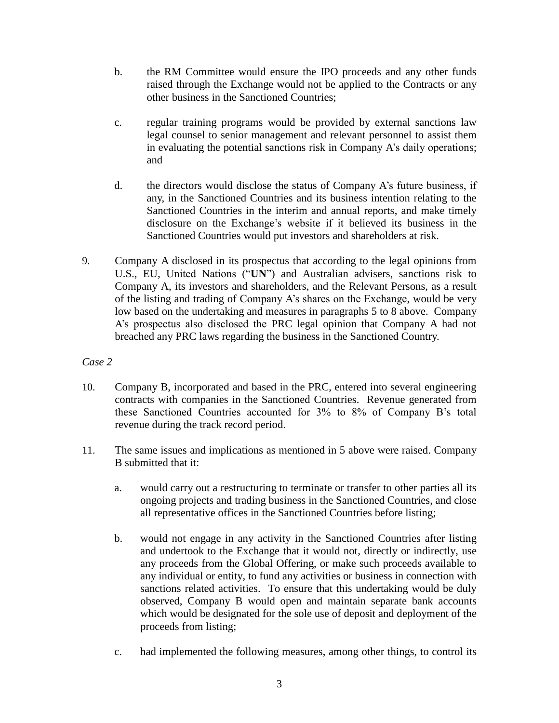- b. the RM Committee would ensure the IPO proceeds and any other funds raised through the Exchange would not be applied to the Contracts or any other business in the Sanctioned Countries;
- c. regular training programs would be provided by external sanctions law legal counsel to senior management and relevant personnel to assist them in evaluating the potential sanctions risk in Company A's daily operations; and
- d. the directors would disclose the status of Company A's future business, if any, in the Sanctioned Countries and its business intention relating to the Sanctioned Countries in the interim and annual reports, and make timely disclosure on the Exchange's website if it believed its business in the Sanctioned Countries would put investors and shareholders at risk.
- 9. Company A disclosed in its prospectus that according to the legal opinions from U.S., EU, United Nations ("**UN**") and Australian advisers, sanctions risk to Company A, its investors and shareholders, and the Relevant Persons, as a result of the listing and trading of Company A's shares on the Exchange, would be very low based on the undertaking and measures in paragraphs [5](#page-1-0) to [8](#page-1-1) above. Company A's prospectus also disclosed the PRC legal opinion that Company A had not breached any PRC laws regarding the business in the Sanctioned Country.

## *Case 2*

- 10. Company B, incorporated and based in the PRC, entered into several engineering contracts with companies in the Sanctioned Countries. Revenue generated from these Sanctioned Countries accounted for 3% to 8% of Company B's total revenue during the track record period.
- 11. The same issues and implications as mentioned in 5 above were raised. Company B submitted that it:
	- a. would carry out a restructuring to terminate or transfer to other parties all its ongoing projects and trading business in the Sanctioned Countries, and close all representative offices in the Sanctioned Countries before listing;
	- b. would not engage in any activity in the Sanctioned Countries after listing and undertook to the Exchange that it would not, directly or indirectly, use any proceeds from the Global Offering, or make such proceeds available to any individual or entity, to fund any activities or business in connection with sanctions related activities. To ensure that this undertaking would be duly observed, Company B would open and maintain separate bank accounts which would be designated for the sole use of deposit and deployment of the proceeds from listing;
	- c. had implemented the following measures, among other things, to control its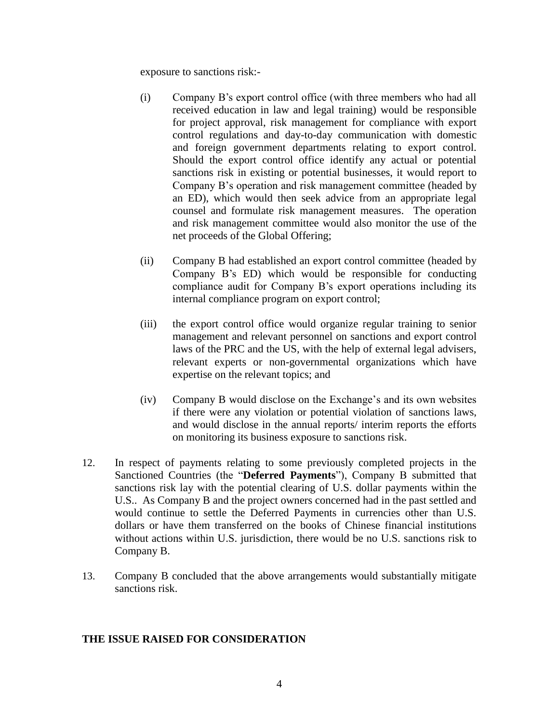exposure to sanctions risk:-

- (i) Company B's export control office (with three members who had all received education in law and legal training) would be responsible for project approval, risk management for compliance with export control regulations and day-to-day communication with domestic and foreign government departments relating to export control. Should the export control office identify any actual or potential sanctions risk in existing or potential businesses, it would report to Company B's operation and risk management committee (headed by an ED), which would then seek advice from an appropriate legal counsel and formulate risk management measures. The operation and risk management committee would also monitor the use of the net proceeds of the Global Offering;
- (ii) Company B had established an export control committee (headed by Company B's ED) which would be responsible for conducting compliance audit for Company B's export operations including its internal compliance program on export control;
- (iii) the export control office would organize regular training to senior management and relevant personnel on sanctions and export control laws of the PRC and the US, with the help of external legal advisers, relevant experts or non-governmental organizations which have expertise on the relevant topics; and
- (iv) Company B would disclose on the Exchange's and its own websites if there were any violation or potential violation of sanctions laws, and would disclose in the annual reports/ interim reports the efforts on monitoring its business exposure to sanctions risk.
- 12. In respect of payments relating to some previously completed projects in the Sanctioned Countries (the "**Deferred Payments**"), Company B submitted that sanctions risk lay with the potential clearing of U.S. dollar payments within the U.S.. As Company B and the project owners concerned had in the past settled and would continue to settle the Deferred Payments in currencies other than U.S. dollars or have them transferred on the books of Chinese financial institutions without actions within U.S. jurisdiction, there would be no U.S. sanctions risk to Company B.
- 13. Company B concluded that the above arrangements would substantially mitigate sanctions risk.

#### **THE ISSUE RAISED FOR CONSIDERATION**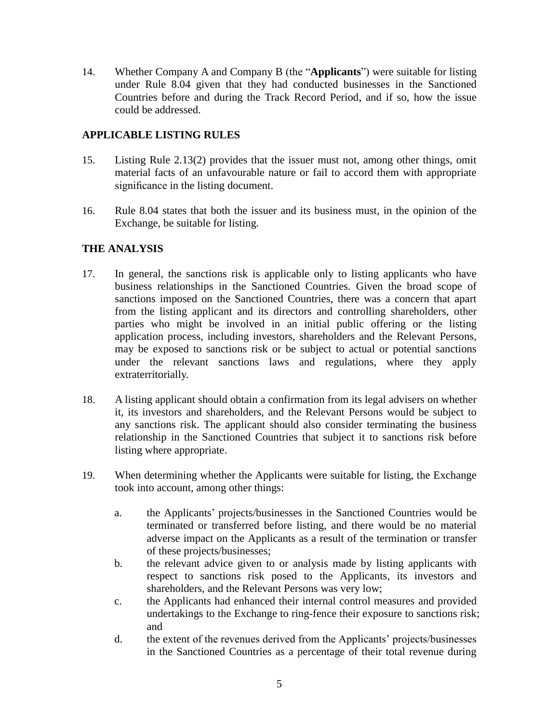14. Whether Company A and Company B (the "**Applicants**") were suitable for listing under Rule 8.04 given that they had conducted businesses in the Sanctioned Countries before and during the Track Record Period, and if so, how the issue could be addressed.

## **APPLICABLE LISTING RULES**

- 15. Listing Rule 2.13(2) provides that the issuer must not, among other things, omit material facts of an unfavourable nature or fail to accord them with appropriate significance in the listing document.
- 16. Rule 8.04 states that both the issuer and its business must, in the opinion of the Exchange, be suitable for listing.

# **THE ANALYSIS**

- 17. In general, the sanctions risk is applicable only to listing applicants who have business relationships in the Sanctioned Countries. Given the broad scope of sanctions imposed on the Sanctioned Countries, there was a concern that apart from the listing applicant and its directors and controlling shareholders, other parties who might be involved in an initial public offering or the listing application process, including investors, shareholders and the Relevant Persons, may be exposed to sanctions risk or be subject to actual or potential sanctions under the relevant sanctions laws and regulations, where they apply extraterritorially.
- 18. A listing applicant should obtain a confirmation from its legal advisers on whether it, its investors and shareholders, and the Relevant Persons would be subject to any sanctions risk. The applicant should also consider terminating the business relationship in the Sanctioned Countries that subject it to sanctions risk before listing where appropriate.
- 19. When determining whether the Applicants were suitable for listing, the Exchange took into account, among other things:
	- a. the Applicants' projects/businesses in the Sanctioned Countries would be terminated or transferred before listing, and there would be no material adverse impact on the Applicants as a result of the termination or transfer of these projects/businesses;
	- b. the relevant advice given to or analysis made by listing applicants with respect to sanctions risk posed to the Applicants, its investors and shareholders, and the Relevant Persons was very low;
	- c. the Applicants had enhanced their internal control measures and provided undertakings to the Exchange to ring-fence their exposure to sanctions risk; and
	- d. the extent of the revenues derived from the Applicants' projects/businesses in the Sanctioned Countries as a percentage of their total revenue during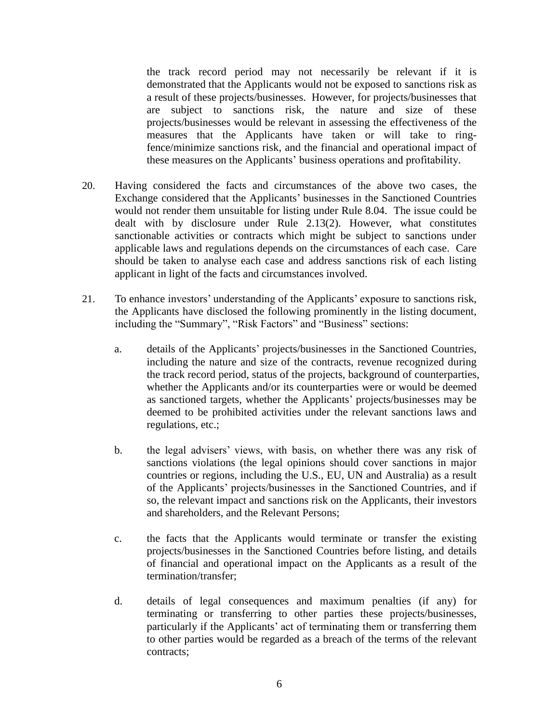the track record period may not necessarily be relevant if it is demonstrated that the Applicants would not be exposed to sanctions risk as a result of these projects/businesses. However, for projects/businesses that are subject to sanctions risk, the nature and size of these projects/businesses would be relevant in assessing the effectiveness of the measures that the Applicants have taken or will take to ringfence/minimize sanctions risk, and the financial and operational impact of these measures on the Applicants' business operations and profitability.

- 20. Having considered the facts and circumstances of the above two cases, the Exchange considered that the Applicants' businesses in the Sanctioned Countries would not render them unsuitable for listing under Rule 8.04. The issue could be dealt with by disclosure under Rule 2.13(2). However, what constitutes sanctionable activities or contracts which might be subject to sanctions under applicable laws and regulations depends on the circumstances of each case. Care should be taken to analyse each case and address sanctions risk of each listing applicant in light of the facts and circumstances involved.
- 21. To enhance investors' understanding of the Applicants' exposure to sanctions risk, the Applicants have disclosed the following prominently in the listing document, including the "Summary", "Risk Factors" and "Business" sections:
	- a. details of the Applicants' projects/businesses in the Sanctioned Countries, including the nature and size of the contracts, revenue recognized during the track record period, status of the projects, background of counterparties, whether the Applicants and/or its counterparties were or would be deemed as sanctioned targets, whether the Applicants' projects/businesses may be deemed to be prohibited activities under the relevant sanctions laws and regulations, etc.;
	- b. the legal advisers' views, with basis, on whether there was any risk of sanctions violations (the legal opinions should cover sanctions in major countries or regions, including the U.S., EU, UN and Australia) as a result of the Applicants' projects/businesses in the Sanctioned Countries, and if so, the relevant impact and sanctions risk on the Applicants, their investors and shareholders, and the Relevant Persons;
	- c. the facts that the Applicants would terminate or transfer the existing projects/businesses in the Sanctioned Countries before listing, and details of financial and operational impact on the Applicants as a result of the termination/transfer;
	- d. details of legal consequences and maximum penalties (if any) for terminating or transferring to other parties these projects/businesses, particularly if the Applicants' act of terminating them or transferring them to other parties would be regarded as a breach of the terms of the relevant contracts;